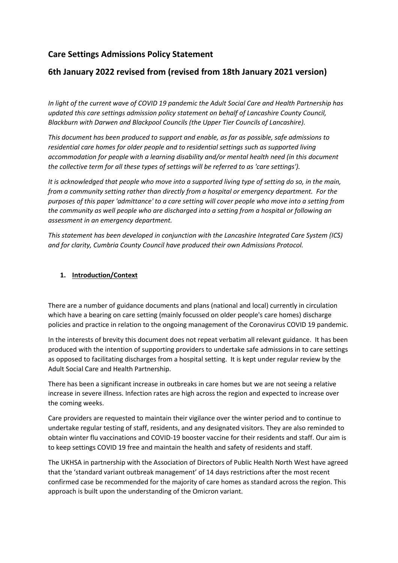# **Care Settings Admissions Policy Statement**

## **6th January 2022 revised from (revised from 18th January 2021 version)**

*In light of the current wave of COVID 19 pandemic the Adult Social Care and Health Partnership has updated this care settings admission policy statement on behalf of Lancashire County Council, Blackburn with Darwen and Blackpool Councils (the Upper Tier Councils of Lancashire).* 

*This document has been produced to support and enable, as far as possible, safe admissions to residential care homes for older people and to residential settings such as supported living accommodation for people with a learning disability and/or mental health need (in this document the collective term for all these types of settings will be referred to as 'care settings').* 

*It is acknowledged that people who move into a supported living type of setting do so, in the main, from a community setting rather than directly from a hospital or emergency department. For the purposes of this paper 'admittance' to a care setting will cover people who move into a setting from the community as well people who are discharged into a setting from a hospital or following an assessment in an emergency department.* 

*This statement has been developed in conjunction with the Lancashire Integrated Care System (ICS) and for clarity, Cumbria County Council have produced their own Admissions Protocol.*

### **1. Introduction/Context**

There are a number of guidance documents and plans (national and local) currently in circulation which have a bearing on care setting (mainly focussed on older people's care homes) discharge policies and practice in relation to the ongoing management of the Coronavirus COVID 19 pandemic.

In the interests of brevity this document does not repeat verbatim all relevant guidance. It has been produced with the intention of supporting providers to undertake safe admissions in to care settings as opposed to facilitating discharges from a hospital setting. It is kept under regular review by the Adult Social Care and Health Partnership.

There has been a significant increase in outbreaks in care homes but we are not seeing a relative increase in severe illness. Infection rates are high across the region and expected to increase over the coming weeks.

Care providers are requested to maintain their vigilance over the winter period and to continue to undertake regular testing of staff, residents, and any designated visitors. They are also reminded to obtain winter flu vaccinations and COVID-19 booster vaccine for their residents and staff. Our aim is to keep settings COVID 19 free and maintain the health and safety of residents and staff.

The UKHSA in partnership with the Association of Directors of Public Health North West have agreed that the 'standard variant outbreak management' of 14 days restrictions after the most recent confirmed case be recommended for the majority of care homes as standard across the region. This approach is built upon the understanding of the Omicron variant.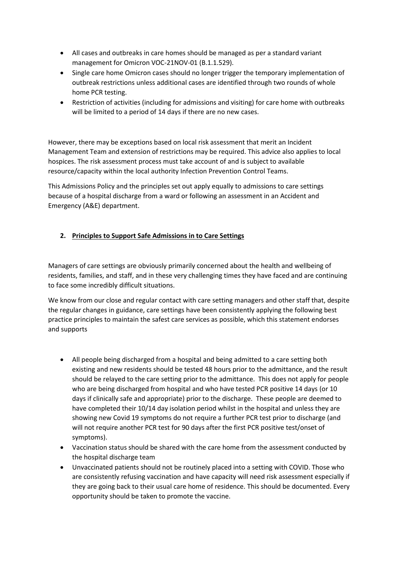- All cases and outbreaks in care homes should be managed as per a standard variant management for Omicron VOC-21NOV-01 (B.1.1.529).
- Single care home Omicron cases should no longer trigger the temporary implementation of outbreak restrictions unless additional cases are identified through two rounds of whole home PCR testing.
- Restriction of activities (including for admissions and visiting) for care home with outbreaks will be limited to a period of 14 days if there are no new cases.

However, there may be exceptions based on local risk assessment that merit an Incident Management Team and extension of restrictions may be required. This advice also applies to local hospices. The risk assessment process must take account of and is subject to available resource/capacity within the local authority Infection Prevention Control Teams.

This Admissions Policy and the principles set out apply equally to admissions to care settings because of a hospital discharge from a ward or following an assessment in an Accident and Emergency (A&E) department.

## **2. Principles to Support Safe Admissions in to Care Settings**

Managers of care settings are obviously primarily concerned about the health and wellbeing of residents, families, and staff, and in these very challenging times they have faced and are continuing to face some incredibly difficult situations.

We know from our close and regular contact with care setting managers and other staff that, despite the regular changes in guidance, care settings have been consistently applying the following best practice principles to maintain the safest care services as possible, which this statement endorses and supports

- All people being discharged from a hospital and being admitted to a care setting both existing and new residents should be tested 48 hours prior to the admittance, and the result should be relayed to the care setting prior to the admittance. This does not apply for people who are being discharged from hospital and who have tested PCR positive 14 days (or 10 days if clinically safe and appropriate) prior to the discharge. These people are deemed to have completed their 10/14 day isolation period whilst in the hospital and unless they are showing new Covid 19 symptoms do not require a further PCR test prior to discharge (and will not require another PCR test for 90 days after the first PCR positive test/onset of symptoms).
- Vaccination status should be shared with the care home from the assessment conducted by the hospital discharge team
- Unvaccinated patients should not be routinely placed into a setting with COVID. Those who are consistently refusing vaccination and have capacity will need risk assessment especially if they are going back to their usual care home of residence. This should be documented. Every opportunity should be taken to promote the vaccine.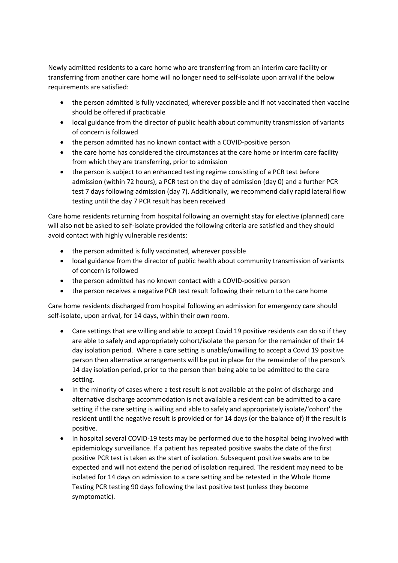Newly admitted residents to a care home who are transferring from an interim care facility or transferring from another care home will no longer need to self-isolate upon arrival if the below requirements are satisfied:

- the person admitted is fully vaccinated, wherever possible and if not vaccinated then vaccine should be offered if practicable
- local guidance from the director of public health about community transmission of variants of concern is followed
- the person admitted has no known contact with a COVID-positive person
- the care home has considered the circumstances at the care home or interim care facility from which they are transferring, prior to admission
- the person is subject to an enhanced testing regime consisting of a PCR test before admission (within 72 hours), a PCR test on the day of admission (day 0) and a further PCR test 7 days following admission (day 7). Additionally, we recommend daily rapid lateral flow testing until the day 7 PCR result has been received

Care home residents returning from hospital following an overnight stay for elective (planned) care will also not be asked to self-isolate provided the following criteria are satisfied and they should avoid contact with highly vulnerable residents:

- the person admitted is fully vaccinated, wherever possible
- local guidance from the director of public health about community transmission of variants of concern is followed
- the person admitted has no known contact with a COVID-positive person
- the person receives a negative PCR test result following their return to the care home

Care home residents discharged from hospital following an admission for emergency care should self-isolate, upon arrival, for 14 days, within their own room.

- Care settings that are willing and able to accept Covid 19 positive residents can do so if they are able to safely and appropriately cohort/isolate the person for the remainder of their 14 day isolation period. Where a care setting is unable/unwilling to accept a Covid 19 positive person then alternative arrangements will be put in place for the remainder of the person's 14 day isolation period, prior to the person then being able to be admitted to the care setting.
- In the minority of cases where a test result is not available at the point of discharge and alternative discharge accommodation is not available a resident can be admitted to a care setting if the care setting is willing and able to safely and appropriately isolate/'cohort' the resident until the negative result is provided or for 14 days (or the balance of) if the result is positive.
- In hospital several COVID-19 tests may be performed due to the hospital being involved with epidemiology surveillance. If a patient has repeated positive swabs the date of the first positive PCR test is taken as the start of isolation. Subsequent positive swabs are to be expected and will not extend the period of isolation required. The resident may need to be isolated for 14 days on admission to a care setting and be retested in the Whole Home Testing PCR testing 90 days following the last positive test (unless they become symptomatic).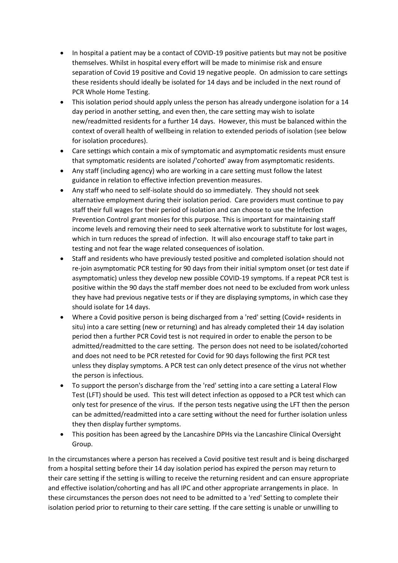- In hospital a patient may be a contact of COVID-19 positive patients but may not be positive themselves. Whilst in hospital every effort will be made to minimise risk and ensure separation of Covid 19 positive and Covid 19 negative people. On admission to care settings these residents should ideally be isolated for 14 days and be included in the next round of PCR Whole Home Testing.
- This isolation period should apply unless the person has already undergone isolation for a 14 day period in another setting, and even then, the care setting may wish to isolate new/readmitted residents for a further 14 days. However, this must be balanced within the context of overall health of wellbeing in relation to extended periods of isolation (see below for isolation procedures).
- Care settings which contain a mix of symptomatic and asymptomatic residents must ensure that symptomatic residents are isolated /'cohorted' away from asymptomatic residents.
- Any staff (including agency) who are working in a care setting must follow the latest guidance in relation to effective infection prevention measures.
- Any staff who need to self-isolate should do so immediately. They should not seek alternative employment during their isolation period. Care providers must continue to pay staff their full wages for their period of isolation and can choose to use the Infection Prevention Control grant monies for this purpose. This is important for maintaining staff income levels and removing their need to seek alternative work to substitute for lost wages, which in turn reduces the spread of infection. It will also encourage staff to take part in testing and not fear the wage related consequences of isolation.
- Staff and residents who have previously tested positive and completed isolation should not re-join asymptomatic PCR testing for 90 days from their initial symptom onset (or test date if asymptomatic) unless they develop new possible COVID-19 symptoms. If a repeat PCR test is positive within the 90 days the staff member does not need to be excluded from work unless they have had previous negative tests or if they are displaying symptoms, in which case they should isolate for 14 days.
- Where a Covid positive person is being discharged from a 'red' setting (Covid+ residents in situ) into a care setting (new or returning) and has already completed their 14 day isolation period then a further PCR Covid test is not required in order to enable the person to be admitted/readmitted to the care setting. The person does not need to be isolated/cohorted and does not need to be PCR retested for Covid for 90 days following the first PCR test unless they display symptoms. A PCR test can only detect presence of the virus not whether the person is infectious.
- To support the person's discharge from the 'red' setting into a care setting a Lateral Flow Test (LFT) should be used. This test will detect infection as opposed to a PCR test which can only test for presence of the virus. If the person tests negative using the LFT then the person can be admitted/readmitted into a care setting without the need for further isolation unless they then display further symptoms.
- This position has been agreed by the Lancashire DPHs via the Lancashire Clinical Oversight Group.

In the circumstances where a person has received a Covid positive test result and is being discharged from a hospital setting before their 14 day isolation period has expired the person may return to their care setting if the setting is willing to receive the returning resident and can ensure appropriate and effective isolation/cohorting and has all IPC and other appropriate arrangements in place. In these circumstances the person does not need to be admitted to a 'red' Setting to complete their isolation period prior to returning to their care setting. If the care setting is unable or unwilling to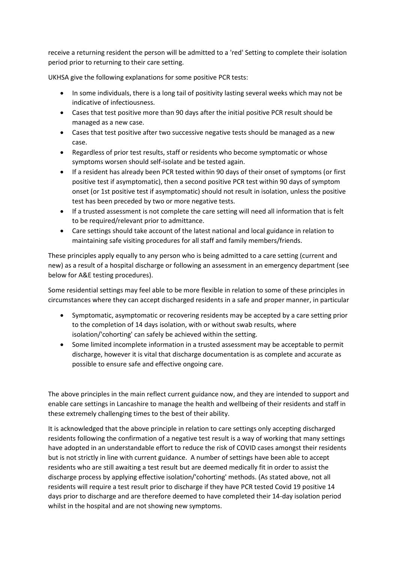receive a returning resident the person will be admitted to a 'red' Setting to complete their isolation period prior to returning to their care setting.

UKHSA give the following explanations for some positive PCR tests:

- In some individuals, there is a long tail of positivity lasting several weeks which may not be indicative of infectiousness.
- Cases that test positive more than 90 days after the initial positive PCR result should be managed as a new case.
- Cases that test positive after two successive negative tests should be managed as a new case.
- Regardless of prior test results, staff or residents who become symptomatic or whose symptoms worsen should self-isolate and be tested again.
- If a resident has already been PCR tested within 90 days of their onset of symptoms (or first positive test if asymptomatic), then a second positive PCR test within 90 days of symptom onset (or 1st positive test if asymptomatic) should not result in isolation, unless the positive test has been preceded by two or more negative tests.
- If a trusted assessment is not complete the care setting will need all information that is felt to be required/relevant prior to admittance.
- Care settings should take account of the latest national and local guidance in relation to maintaining safe visiting procedures for all staff and family members/friends.

These principles apply equally to any person who is being admitted to a care setting (current and new) as a result of a hospital discharge or following an assessment in an emergency department (see below for A&E testing procedures).

Some residential settings may feel able to be more flexible in relation to some of these principles in circumstances where they can accept discharged residents in a safe and proper manner, in particular

- Symptomatic, asymptomatic or recovering residents may be accepted by a care setting prior to the completion of 14 days isolation, with or without swab results, where isolation/'cohorting' can safely be achieved within the setting.
- Some limited incomplete information in a trusted assessment may be acceptable to permit discharge, however it is vital that discharge documentation is as complete and accurate as possible to ensure safe and effective ongoing care.

The above principles in the main reflect current guidance now, and they are intended to support and enable care settings in Lancashire to manage the health and wellbeing of their residents and staff in these extremely challenging times to the best of their ability.

It is acknowledged that the above principle in relation to care settings only accepting discharged residents following the confirmation of a negative test result is a way of working that many settings have adopted in an understandable effort to reduce the risk of COVID cases amongst their residents but is not strictly in line with current guidance. A number of settings have been able to accept residents who are still awaiting a test result but are deemed medically fit in order to assist the discharge process by applying effective isolation/'cohorting' methods. (As stated above, not all residents will require a test result prior to discharge if they have PCR tested Covid 19 positive 14 days prior to discharge and are therefore deemed to have completed their 14-day isolation period whilst in the hospital and are not showing new symptoms.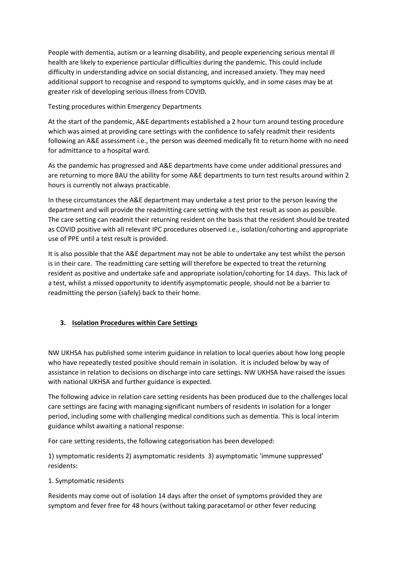People with dementia, autism or a learning disability, and people experiencing serious mental ill health are likely to experience particular difficulties during the pandemic. This could include difficulty in understanding advice on social distancing, and increased anxiety. They may need additional support to recognise and respond to symptoms quickly, and in some cases may be at greater risk of developing serious illness from COVID.

Testing procedures within Emergency Departments

At the start of the pandemic, A&E departments established a 2 hour turn around testing procedure which was aimed at providing care settings with the confidence to safely readmit their residents following an A&E assessment i.e., the person was deemed medically fit to return home with no need for admittance to a hospital ward.

As the pandemic has progressed and A&E departments have come under additional pressures and are returning to more BAU the ability for some A&E departments to turn test results around within 2 hours is currently not always practicable.

In these circumstances the A&E department may undertake a test prior to the person leaving the department and will provide the readmitting care setting with the test result as soon as possible. The care setting can readmit their returning resident on the basis that the resident should be treated as COVID positive with all relevant IPC procedures observed i.e., isolation/cohorting and appropriate use of PPE until a test result is provided.

It is also possible that the A&E department may not be able to undertake any test whilst the person is in their care. The readmitting care setting will therefore be expected to treat the returning resident as positive and undertake safe and appropriate isolation/cohorting for 14 days. This lack of a test, whilst a missed opportunity to identify asymptomatic people, should not be a barrier to readmitting the person (safely) back to their home.

## **3. Isolation Procedures within Care Settings**

NW UKHSA has published some interim guidance in relation to local queries about how long people who have repeatedly tested positive should remain in isolation. It is included below by way of assistance in relation to decisions on discharge into care settings. NW UKHSA have raised the issues with national UKHSA and further guidance is expected.

The following advice in relation care setting residents has been produced due to the challenges local care settings are facing with managing significant numbers of residents in isolation for a longer period, including some with challenging medical conditions such as dementia. This is local interim guidance whilst awaiting a national response:

For care setting residents, the following categorisation has been developed:

1) symptomatic residents 2) asymptomatic residents 3) asymptomatic 'immune suppressed' residents:

#### 1. Symptomatic residents

Residents may come out of isolation 14 days after the onset of symptoms provided they are symptom and fever free for 48 hours (without taking paracetamol or other fever reducing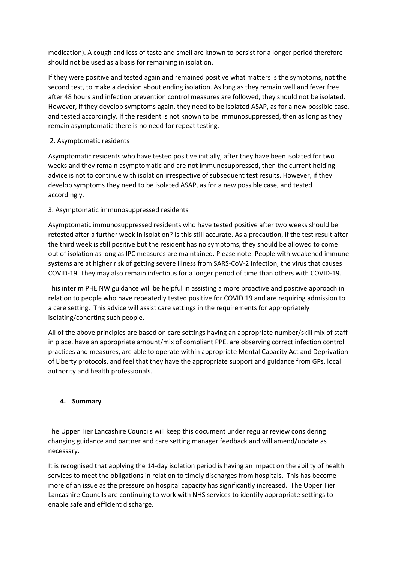medication). A cough and loss of taste and smell are known to persist for a longer period therefore should not be used as a basis for remaining in isolation.

If they were positive and tested again and remained positive what matters is the symptoms, not the second test, to make a decision about ending isolation. As long as they remain well and fever free after 48 hours and infection prevention control measures are followed, they should not be isolated. However, if they develop symptoms again, they need to be isolated ASAP, as for a new possible case, and tested accordingly. If the resident is not known to be immunosuppressed, then as long as they remain asymptomatic there is no need for repeat testing.

## 2. Asymptomatic residents

Asymptomatic residents who have tested positive initially, after they have been isolated for two weeks and they remain asymptomatic and are not immunosuppressed, then the current holding advice is not to continue with isolation irrespective of subsequent test results. However, if they develop symptoms they need to be isolated ASAP, as for a new possible case, and tested accordingly.

## 3. Asymptomatic immunosuppressed residents

Asymptomatic immunosuppressed residents who have tested positive after two weeks should be retested after a further week in isolation? Is this still accurate. As a precaution, if the test result after the third week is still positive but the resident has no symptoms, they should be allowed to come out of isolation as long as IPC measures are maintained. Please note: People with weakened immune systems are at higher risk of getting severe illness from SARS-CoV-2 infection, the virus that causes COVID-19. They may also remain infectious for a longer period of time than others with COVID-19.

This interim PHE NW guidance will be helpful in assisting a more proactive and positive approach in relation to people who have repeatedly tested positive for COVID 19 and are requiring admission to a care setting. This advice will assist care settings in the requirements for appropriately isolating/cohorting such people.

All of the above principles are based on care settings having an appropriate number/skill mix of staff in place, have an appropriate amount/mix of compliant PPE, are observing correct infection control practices and measures, are able to operate within appropriate Mental Capacity Act and Deprivation of Liberty protocols, and feel that they have the appropriate support and guidance from GPs, local authority and health professionals.

## **4. Summary**

The Upper Tier Lancashire Councils will keep this document under regular review considering changing guidance and partner and care setting manager feedback and will amend/update as necessary.

It is recognised that applying the 14-day isolation period is having an impact on the ability of health services to meet the obligations in relation to timely discharges from hospitals. This has become more of an issue as the pressure on hospital capacity has significantly increased. The Upper Tier Lancashire Councils are continuing to work with NHS services to identify appropriate settings to enable safe and efficient discharge.